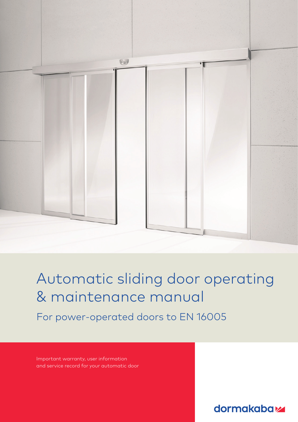

Automatic sliding door operating & maintenance manual

For power-operated doors to EN 16005

Important warranty, user information and service record for your automatic door

**dormakabazz**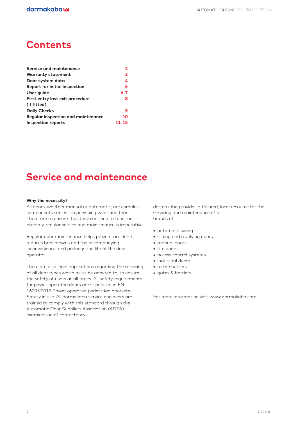### **Contents**

| Service and maintenance                   |           |
|-------------------------------------------|-----------|
| <b>Warranty statement</b>                 | 3         |
| Door system data                          | 4         |
| <b>Report for initial inspection</b>      | 5         |
| User guide                                | $6 - 7$   |
| First entry last exit procedure           | 8         |
| (if fitted)                               |           |
| <b>Daily Checks</b>                       | 9         |
| <b>Reqular inspection and maintenance</b> | 10        |
| <b>Inspection reports</b>                 | $11 - 15$ |

### **Service and maintenance**

#### **Why the necessity?**

All doors, whether manual or automatic, are complex components subject to punishing wear and tear. Therefore to ensure that they continue to function properly, regular service and maintenance is imperative.

Regular door maintenance helps prevent accidents, reduces breakdowns and the accompanying inconvenience, and prolongs the life of the door operator.

There are also legal implications regarding the servicing of all door types which must be adhered to, to ensure the safety of users at all times. All safety requirements for power operated doors are stipulated in EN 16005:2012 Power operated pedestrian doorsets - Safety in use. All dormakaba service engineers are trained to comply with this standard through the Automatic Door Suppliers Association (ADSA) examination of competency.

dormakaba provides a tailored, local resource for the servicing and maintenance of all brands of:

- **•** automatic swing
- **•** sliding and revolving doors
- **•** manual doors
- **•** fire doors
- **•** access control systems
- **•** industrial doors
- **•** roller shutters
- **•** gates & barriers

For more information visit www.dormakaba.com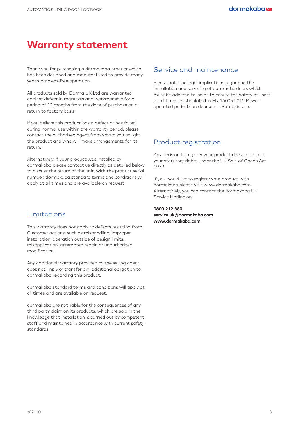### **Warranty statement**

Thank you for purchasing a dormakaba product which has been designed and manufactured to provide many year's problem-free operation.

All products sold by Dorma UK Ltd are warranted against defect in materials and workmanship for a period of 12 months from the date of purchase on a return to factory basis.

If you believe this product has a defect or has failed during normal use within the warranty period, please contact the authorised agent from whom you bought the product and who will make arrangements for its return.

Alternatively, if your product was installed by dormakaba please contact us directly as detailed below to discuss the return of the unit, with the product serial number. dormakaba standard terms and conditions will apply at all times and are available on request.

### Limitations

This warranty does not apply to defects resulting from Customer actions, such as mishandling, improper installation, operation outside of design limits, misapplication, attempted repair, or unauthorized modification.

Any additional warranty provided by the selling agent does not imply or transfer any additional obligation to dormakaba regarding this product.

dormakaba standard terms and conditions will apply at all times and are available on request.

dormakaba are not liable for the consequences of any third party claim on its products, which are sold in the knowledge that installation is carried out by competent staff and maintained in accordance with current safety standards.

### Service and maintenance

Please note the legal implications regarding the installation and servicing of automatic doors which must be adhered to, so as to ensure the safety of users at all times as stipulated in EN 16005:2012 Power operated pedestrian doorsets – Safety in use.

### Product registration

Any decision to register your product does not affect your statutory rights under the UK Sale of Goods Act 1979.

If you would like to register your product with dormakaba please visit www.dormakaba.com Alternatively, you can contact the dormakaba UK Service Hotline on:

**0800 212 380 service.uk@dormakaba.com www.dormakaba.com**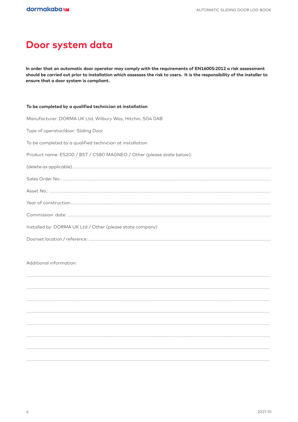## Door system data

In order that an automatic door operator may comply with the requirements of EN16005:2012 a risk assessment should be carried out prior to installation which assesses the risk to users. It is the responsibility of the installer to ensure that a door system is compliant.

| To be completed by a qualified technician at installation             |
|-----------------------------------------------------------------------|
| Manufacturer: DORMA UK Ltd, Wilbury Way, Hitchin, SG4 OAB             |
| Type of operator/door: Sliding Door                                   |
| To be completed by a qualified technician at installation             |
| Product name: ES200 / BST / CS80 MAGNEO / Other (please state below): |
|                                                                       |
|                                                                       |
|                                                                       |
|                                                                       |
|                                                                       |
| Installed by: DORMA UK Ltd / Other (please state company)             |
|                                                                       |
|                                                                       |

#### Additional information: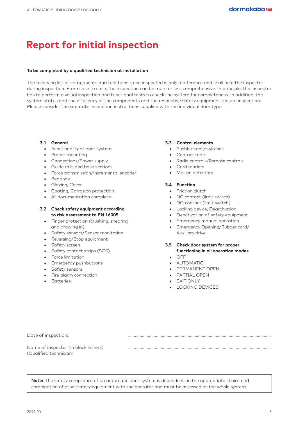## **Report for initial inspection**

#### **To be completed by a qualified technician at installation**

The following list of components and functions to be inspected is only a reference and shall help the inspector during inspection. From case to case, the inspection can be more or less comprehensive. In principle, the inspector has to perform a visual inspection and functional tests to check the system for completeness. In addition, the system status and the efficiency of the components and the respective safety equipment require inspection. Please consider the separate inspection instructions supplied with the individual door types.

#### **3.1 General**

- **•** Functionality of door system
- **•** Proper mounting
- **•** Connections/Power supply
- **•** Guide rails and base sections
- **•** Force transmission/Incremental encoder
- **•** Bearings
- **•** Glazing, Cover
- **•** Coating, Corrosion protection
- **•** All documentation complete

#### **3.2 Check safety equipment according to risk assessment to EN 16005**

- **•** Finger protection (crushing, shearing and drawing in)
- **•** Safety sensors/Sensor monitoring
- **•** Reversing/Stop equipment
- **•** Safety screen
- **•** Safety contact strips (SCS)
- **•** Force limitation
- **•** Emergency pushbuttons
- **•** Safety sensors
- Fire alarm connection
- Batteries

#### **3.3 Control elements**

- **•** Pushbuttons/switches
- **•** Contact mats
- **•** Radio controls/Remote controls
- **•** Card readers
- **•** Motion detectors

#### **3.4 Function**

- **•** Friction clutch
- **•** NC contact (limit switch)
- **•** NO contact (limit switch)
- **•** Locking device, Deactivation
- **•** Deactivation of safety equipment
- **•** Emergency manual operation
- **•** Emergency Opening/Rubber cord/ Auxiliary drive
- **3.5 Check door system for proper functioning in all operation modes •** OFF
	-
	- **•** AUTOMATIC
	- **•** PERMANENT OPEN
	- **•** PARTIAL OPEN
	- **•** EXIT ONLY
	- **•** LOCKING DEVICES

Date of inspection:.

Name of inspector (in block letters): ......................................................................................................................... (Qualified technician)

**Note:** The safety compliance of an automatic door system is dependent on the appropriate choice and combination of other safety equipment with the operator and must be assessed as the whole system.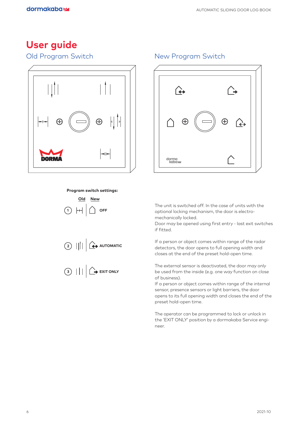## **User guide**

### Old Program Switch New Program Switch



### **Program switch settings: Program switch settings:**

**Old New**  $(1)$   $H$   $($   $)$   $\cap$  **OFF Old New**  $\circlearrowleft$  + +  $\mid$   $\sqcup$   $\mid$   $\cdots$ **Old New**







The unit is switched off. In the case of units with the optional locking mechanism, the door is electromechanically locked.

Door may be opened using first entry - last exit switches if fitted.

If a person or object comes within range of the radar detectors, the door opens to full opening width and closes at the end of the preset hold-open time.

The external sensor is deactivated, the door may only be used from the inside (e.g. one way function on close of business).

If a person or object comes within range of the internal sensor, presence sensors or light barriers, the door opens to its full opening width and closes the end of the preset hold-open time.

The operator can be programmed to lock or unlock in the 'EXIT ONLY' position by a dormakaba Service engineer.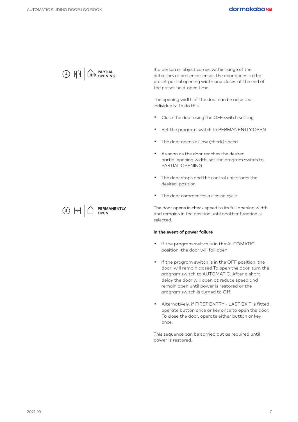

If a person or object comes within range of the detectors or presence sensor, the door opens to the preset partial opening width and closes at the end of the preset hold-open time.

The opening width of the door can be adjusted individually. To do this:

- . Close the door using the OFF switch setting
- . Set the program switch to PERMANENTLY OPEN
- . The door opens at low (check) speed
- . As soon as the door reaches the desired partial opening width, set the program switch to PARTIAL OPENING
- . The door stops and the control unit stores the desired position
- . The door commences a closing cycle

The door opens in check speed to its full opening width and remains in the position until another function is selected.

#### **In the event of power failure**

- . If the program switch is in the AUTOMATIC position, the door will fail open
- . If the program switch is in the OFF position, the door will remain closed To open the door, turn the program switch to AUTOMATIC. After a short delay the door will open at reduce speed and remain open until power is restored or the program switch is turned to Off.
- . Alternatively, if FIRST ENTRY LAST EXIT is fitted, operate button once or key once to open the door. To close the door, operate either button or key once.

This sequence can be carried out as required until power is restored.

 $(5)$   $+$ **PERMANENTLY OPEN**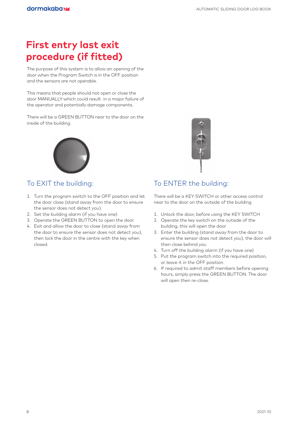# **First entry last exit procedure (if fitted)**

The purpose of this system is to allow an opening of the door when the Program Switch is in the OFF position and the sensors are not operable.

This means that people should not open or close the door MANUALLY which could result in a major failure of the operator and potentially damage components.

There will be a GREEN BUTTON near to the door on the inside of the building.



### To EXIT the building:

- 1. Turn the program switch to the OFF position and let the door close (stand away from the door to ensure the sensor does not detect you).
- 2. Set the building alarm (if you have one)
- 3. Operate the GREEN BUTTON to open the door
- 4. Exit and allow the door to close (stand away from the door to ensure the sensor does not detect you), then lock the door in the centre with the key when closed.



### To ENTER the building:

There will be a KEY SWITCH or other access control near to the door on the outside of the building

- 1. Unlock the door, before using the KEY SWITCH
- 2. Operate the key switch on the outside of the building, this will open the door
- 3. Enter the building (stand away from the door to ensure the sensor does not detect you), the door will then close behind you
- 4. Turn off the building alarm (if you have one)
- 5. Put the program switch into the required position, or leave it in the OFF position
- 6. If required to admit staff members before opening hours, simply press the GREEN BUTTON. The door will open then re-close.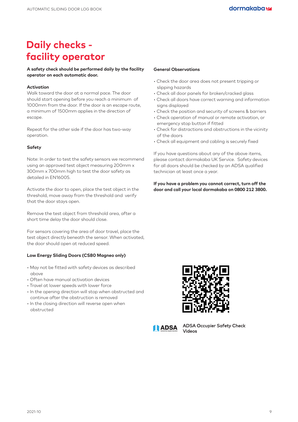## **Daily checks facility operator**

#### **A safety check should be performed daily by the facility operator on each automatic door.**

#### **Activation**

Walk toward the door at a normal pace. The door should start opening before you reach a minimum of 1000mm from the door. If the door is an escape route, a minimum of 1500mm applies in the direction of escape.

Repeat for the other side if the door has two-way operation.

#### **Safety**

Note: In order to test the safety sensors we recommend using an approved test object measuring 200mm x 300mm x 700mm high to test the door safety as detailed in EN16005.

Activate the door to open, place the test object in the threshold, move away from the threshold and verify that the door stays open.

Remove the test object from threshold area, after a short time delay the door should close.

For sensors covering the area of door travel, place the test object directly beneath the sensor. When activated, the door should open at reduced speed.

#### **Low Energy Sliding Doors (CS80 Magneo only)**

- May not be fitted with safety devices as described above
- Often have manual activation devices
- Travel at lower speeds with lower force
- In the opening direction will stop when obstructed and continue after the obstruction is removed
- In the closing direction will reverse open when obstructed

#### **General Observations**

- Check the door area does not present tripping or slipping hazards
- Check all door panels for broken/cracked glass
- Check all doors have correct warning and information signs displayed
- Check the position and security of screens & barriers
- Check operation of manual or remote activation, or emergency stop button if fitted
- Check for distractions and obstructions in the vicinity of the doors
- Check all equipment and cabling is securely fixed

If you have questions about any of the above items, please contact dormakaba UK Service. Safety devices for all doors should be checked by an ADSA qualified technician at least once a year.

**If you have a problem you cannot correct, turn off the door and call your local dormakaba on 0800 212 3800.**





ADSA Occupier Safety Check Videos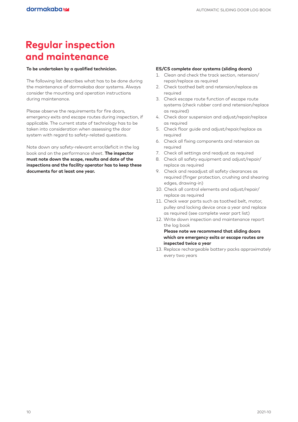## **Regular inspection and maintenance**

#### **To be undertaken by a qualified technician.**

The following list describes what has to be done during the maintenance of dormakaba door systems. Always consider the mounting and operation instructions during maintenance.

Please observe the requirements for fire doors, emergency exits and escape routes during inspection, if applicable. The current state of technology has to be taken into consideration when assessing the door system with regard to safety-related questions.

Note down any safety-relevant error/deficit in the log book and on the performance sheet. **The inspector must note down the scope, results and date of the inspections and the facility operator has to keep these documents for at least one year.**

#### **ES/CS complete door systems (sliding doors)**

- 1. Clean and check the track section, retension/ repair/replace as required
- 2. Check toothed belt and retension/replace as required
- 3. Check escape route function of escape route systems (check rubber cord and retension/replace as required)
- 4. Check door suspension and adjust/repair/replace as required
- 5. Check floor guide and adjust/repair/replace as required
- 6. Check all fixing components and retension as required
- 7. Check all settings and readjust as required
- 8. Check all safety equipment and adjust/repair/ replace as required
- 9. Check and reaadjust all safety clearances as required (finger protection, crushing and shearing edges, drawing-in)
- 10. Check all control elements and adjust/repair/ replace as required
- 11. Check wear parts such as toothed belt, motor, pulley and locking device once a year and replace as required (see complete wear part list)
- 12. Write down inspection and maintenance report the log book

 **Please note we recommend that sliding doors which are emergency exits or escape routes are inspected twice a year**

13. Replace rechargeable battery packs approximately every two years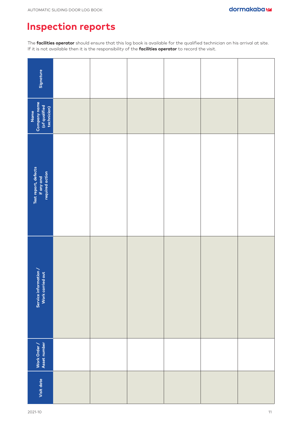## **Inspection reports**

The **facilities operator** should ensure that this log book is available for the qualified technician on his arrival at site. If it is not available then it is the responsibility of the **facilities operator** to record the visit.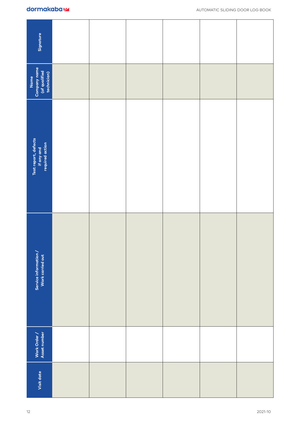| dormakabaz                                     |  |  |  |  |  |  |
|------------------------------------------------|--|--|--|--|--|--|
| Signature                                      |  |  |  |  |  |  |
| npany name<br>f qualified<br>chnician)<br>Name |  |  |  |  |  |  |

| Signature                                             |  |  |         |
|-------------------------------------------------------|--|--|---------|
| Name<br>Company name<br>(of qualified<br>technician)  |  |  |         |
| Test report, defects<br>if any and<br>required action |  |  |         |
| Service information /<br>Work carried out             |  |  |         |
| Work Order /<br>Asset number                          |  |  |         |
| Visit date                                            |  |  |         |
| 12                                                    |  |  | 2021-10 |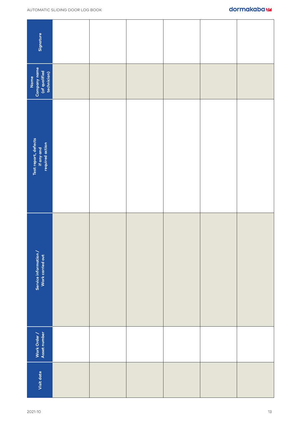| Signature                                             |  |  |    |
|-------------------------------------------------------|--|--|----|
| Company name<br>(of qualified<br>technician)<br>Name  |  |  |    |
| Test report, defects<br>if any and<br>required action |  |  |    |
| Service information /<br>Work carried out             |  |  |    |
| Work Order /<br>Asset number                          |  |  |    |
| Visit date                                            |  |  |    |
| 2021-10                                               |  |  | 13 |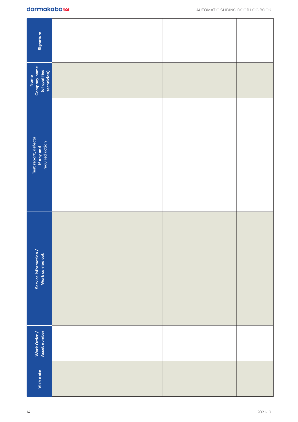| Signature                                             |  |  |  |  |  |  |
|-------------------------------------------------------|--|--|--|--|--|--|
| Company name<br>(of qualified<br>technician)<br>Name  |  |  |  |  |  |  |
| Test report, defects<br>if any and<br>required action |  |  |  |  |  |  |
| Service information /<br>Work carried out             |  |  |  |  |  |  |
| Work Order /<br>Asset number                          |  |  |  |  |  |  |
| Visit date                                            |  |  |  |  |  |  |
| 2021-10<br>14                                         |  |  |  |  |  |  |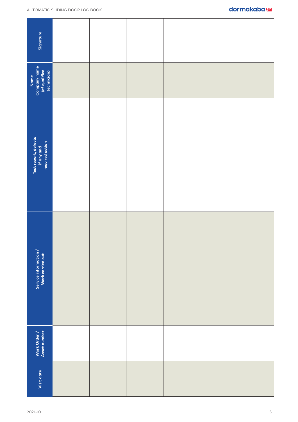| Signature                                             |  |  |  |  |  |  |
|-------------------------------------------------------|--|--|--|--|--|--|
| Company name<br>(of qualified<br>technician)<br>Name  |  |  |  |  |  |  |
| Test report, defects<br>if any and<br>required action |  |  |  |  |  |  |
| Service information /<br>Work carried out             |  |  |  |  |  |  |
| Work Order /<br>Asset number                          |  |  |  |  |  |  |
| Visit date                                            |  |  |  |  |  |  |
| 15<br>2021-10                                         |  |  |  |  |  |  |